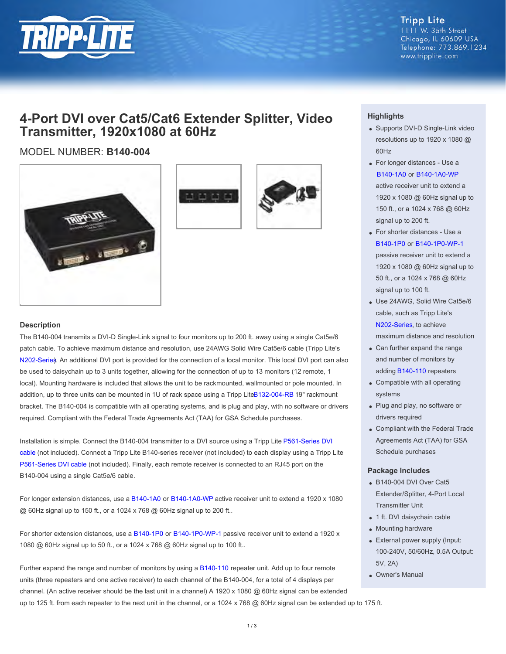

**Tripp Lite** 1111 W. 35th Street Chicago, IL 60609 USA Telephone: 773.869.1234 www.tripplite.com

## **4-Port DVI over Cat5/Cat6 Extender Splitter, Video Transmitter, 1920x1080 at 60Hz**

### MODEL NUMBER: **B140-004**







#### **Description**

The B140-004 transmits a DVI-D Single-Link signal to four monitors up to 200 ft. away using a single Cat5e/6 patch cable. To achieve maximum distance and resolution, use 24AWG Solid Wire Cat5e/6 cable (Tripp Lite's [N202-Series](http://www.tripplite.com/main/search/type/any/q/n202). An additional DVI port is provided for the connection of a local monitor. This local DVI port can also be used to daisychain up to 3 units together, allowing for the connection of up to 13 monitors (12 remote, 1 local). Mounting hardware is included that allows the unit to be rackmounted, wallmounted or pole mounted. In addition, up to three units can be mounted in 1U of rack space using a Tripp Lit[e B132-004-RB](http://www.tripplite.com/sku/b132004rb/) 19" rackmount bracket. The B140-004 is compatible with all operating systems, and is plug and play, with no software or drivers required. Compliant with the Federal Trade Agreements Act (TAA) for GSA Schedule purchases.

Installation is simple. Connect the B140-004 transmitter to a DVI source using a Tripp Lite [P561-Series DVI](http://www.tripplite.com/main/search/type/any/q/p561) [cable](http://www.tripplite.com/main/search/type/any/q/p561) (not included). Connect a Tripp Lite B140-series receiver (not included) to each display using a Tripp Lite [P561-Series DVI cable](http://www.tripplite.com/main/search/type/any/q/p561) (not included). Finally, each remote receiver is connected to an RJ45 port on the B140-004 using a single Cat5e/6 cable.

For longer extension distances, use a [B140-1A0](http://www.tripplite.com/sku/b1401a0/) or [B140-1A0-WP](http://www.tripplite.com/sku/b1401a0wp/) active receiver unit to extend a 1920 x 1080 @ 60Hz signal up to 150 ft., or a 1024 x 768 @ 60Hz signal up to 200 ft..

For shorter extension distances, use a [B140-1P0](http://www.tripplite.com/sku/b1401p0/) or [B140-1P0-WP-1](http://www.tripplite.com/dvi-over-cat5-cat6-extender-wall-plate-video-receiver-1920x1080-60hz~b1401p0wp1/) passive receiver unit to extend a 1920 x 1080 @ 60Hz signal up to 50 ft., or a 1024 x 768 @ 60Hz signal up to 100 ft..

Further expand the range and number of monitors by using a [B140-110](http://www.tripplite.com/sku/b140110/) repeater unit. Add up to four remote units (three repeaters and one active receiver) to each channel of the B140-004, for a total of 4 displays per channel. (An active receiver should be the last unit in a channel) A 1920 x 1080 @ 60Hz signal can be extended up to 125 ft. from each repeater to the next unit in the channel, or a 1024 x 768  $@$  60Hz signal can be extended up to 175 ft.

#### **Highlights**

- Supports DVI-D Single-Link video resolutions up to 1920 x 1080 @ 60Hz
- For longer distances Use a [B140-1A0](http://www.tripplite.com/sku/b1401a0/) or [B140-1A0-WP](http://www.tripplite.com/sku/b1401a0wp/) active receiver unit to extend a 1920 x 1080 @ 60Hz signal up to 150 ft., or a 1024 x 768 @ 60Hz signal up to 200 ft.
- For shorter distances Use a [B140-1P0](http://www.tripplite.com/sku/b1401p0/) or [B140-1P0-WP-1](http://www.tripplite.com/dvi-over-cat5-cat6-extender-wall-plate-video-receiver-1920x1080-60hz~b1401p0wp1/) passive receiver unit to extend a 1920 x 1080 @ 60Hz signal up to 50 ft., or a 1024 x 768 @ 60Hz signal up to 100 ft.
- Use 24AWG, Solid Wire Cat5e/6 cable, such as Tripp Lite's [N202-Series](http://www.tripplite.com/main/search/type/any/q/n202), to achieve maximum distance and resolution
- Can further expand the range and number of monitors by adding [B140-110](http://www.tripplite.com/sku/b140110/) repeaters
- Compatible with all operating systems
- Plug and play, no software or drivers required
- Compliant with the Federal Trade Agreements Act (TAA) for GSA Schedule purchases

#### **Package Includes**

- B140-004 DVI Over Cat5 Extender/Splitter, 4-Port Local Transmitter Unit
- 1 ft. DVI daisychain cable
- Mounting hardware
- External power supply (Input: 100-240V, 50/60Hz, 0.5A Output: 5V, 2A)
- Owner's Manual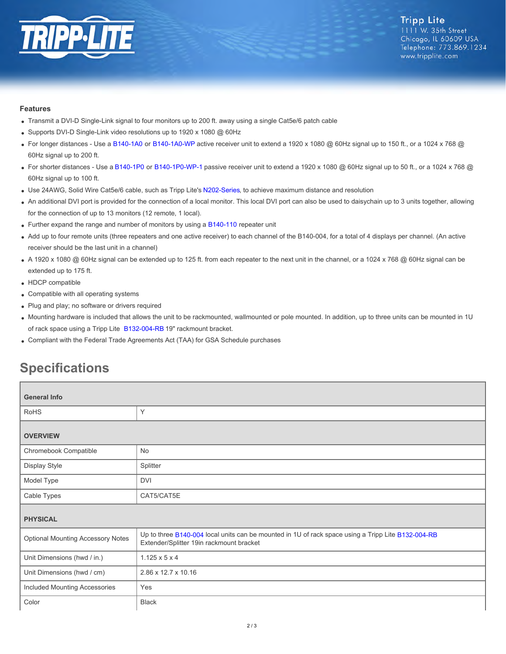

#### **Features**

- Transmit a DVI-D Single-Link signal to four monitors up to 200 ft. away using a single Cat5e/6 patch cable
- Supports DVI-D Single-Link video resolutions up to 1920 x 1080 @ 60Hz
- For longer distances Use a [B140-1A0](http://www.tripplite.com/sku/b1401a0/) or [B140-1A0-WP](http://www.tripplite.com/sku/b1401a0wp/) active receiver unit to extend a 1920 x 1080 @ 60Hz signal up to 150 ft., or a 1024 x 768 @ 60Hz signal up to 200 ft.
- For shorter distances Use a [B140-1P0](http://www.tripplite.com/sku/b1401p0/) or [B140-1P0-WP-1](http://www.tripplite.com/dvi-over-cat5-cat6-extender-wall-plate-video-receiver-1920x1080-60hz~b1401p0wp1/) passive receiver unit to extend a 1920 x 1080 @ 60Hz signal up to 50 ft., or a 1024 x 768 @ 60Hz signal up to 100 ft.
- Use 24AWG, Solid Wire Cat5e/6 cable, such as Tripp Lite's [N202-Series](http://www.tripplite.com/main/search/type/any/q/n202), to achieve maximum distance and resolution
- An additional DVI port is provided for the connection of a local monitor. This local DVI port can also be used to daisychain up to 3 units together, allowing for the connection of up to 13 monitors (12 remote, 1 local).
- Further expand the range and number of monitors by using a [B140-110](http://www.tripplite.com/sku/b140110/) repeater unit
- Add up to four remote units (three repeaters and one active receiver) to each channel of the B140-004, for a total of 4 displays per channel. (An active receiver should be the last unit in a channel)
- A 1920 x 1080 @ 60Hz signal can be extended up to 125 ft. from each repeater to the next unit in the channel, or a 1024 x 768 @ 60Hz signal can be extended up to 175 ft.
- HDCP compatible
- Compatible with all operating systems
- Plug and play; no software or drivers required
- Mounting hardware is included that allows the unit to be rackmounted, wallmounted or pole mounted. In addition, up to three units can be mounted in 1U of rack space using a Tripp Lite [B132-004-RB](http://www.tripplite.com/sku/b132004rb/) 19" rackmount bracket.
- Compliant with the Federal Trade Agreements Act (TAA) for GSA Schedule purchases

# **Specifications**

| <b>General Info</b>                      |                                                                                                                                                |  |
|------------------------------------------|------------------------------------------------------------------------------------------------------------------------------------------------|--|
| <b>RoHS</b>                              | Υ                                                                                                                                              |  |
| <b>OVERVIEW</b>                          |                                                                                                                                                |  |
| Chromebook Compatible                    | No                                                                                                                                             |  |
| Display Style                            | Splitter                                                                                                                                       |  |
| Model Type                               | <b>DVI</b>                                                                                                                                     |  |
| Cable Types                              | CAT5/CAT5E                                                                                                                                     |  |
| <b>PHYSICAL</b>                          |                                                                                                                                                |  |
| <b>Optional Mounting Accessory Notes</b> | Up to three B140-004 local units can be mounted in 1U of rack space using a Tripp Lite B132-004-RB<br>Extender/Splitter 19in rackmount bracket |  |
| Unit Dimensions (hwd / in.)              | $1.125 \times 5 \times 4$                                                                                                                      |  |
| Unit Dimensions (hwd / cm)               | 2.86 x 12.7 x 10.16                                                                                                                            |  |
| Included Mounting Accessories            | Yes                                                                                                                                            |  |
| Color                                    | <b>Black</b>                                                                                                                                   |  |